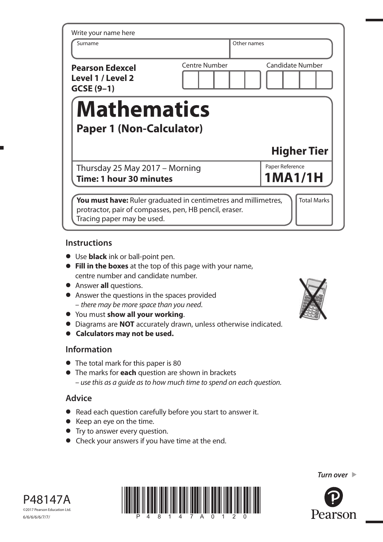| Write your name here                                       |                      |                         |
|------------------------------------------------------------|----------------------|-------------------------|
| Surname                                                    | Other names          |                         |
| <b>Pearson Edexcel</b><br>Level 1 / Level 2<br>$GCSE(9-1)$ | <b>Centre Number</b> | <b>Candidate Number</b> |
|                                                            |                      |                         |
| <b>Mathematics</b>                                         |                      |                         |
| <b>Paper 1 (Non-Calculator)</b>                            |                      |                         |
|                                                            |                      | <b>Higher Tier</b>      |
| Thursday 25 May 2017 - Morning                             |                      | Paper Reference         |

# **Instructions**

- **•** Use **black** ink or ball-point pen.
- **• Fill in the boxes** at the top of this page with your name, centre number and candidate number.
- **•** Answer **all** questions.
- **•** Answer the questions in the spaces provided – there may be more space than you need.
- **•** You must **show all your working**.
- **•** Diagrams are **NOT** accurately drawn, unless otherwise indicated.
- **• Calculators may not be used.**

## **Information**

- **•** The total mark for this paper is 80
- **•** The marks for **each** question are shown in brackets – use this as a guide as to how much time to spend on each question.

# **Advice**

- **•** Read each question carefully before you start to answer it.
- **•** Keep an eye on the time.
- **•** Try to answer every question.
- **•** Check your answers if you have time at the end.











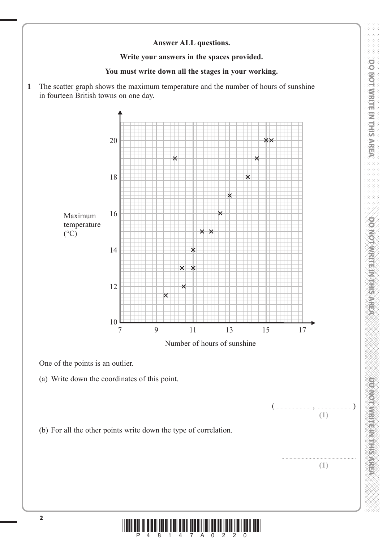**CONCRETE MEETINGS** 

### **Answer ALL questions.**

**Write your answers in the spaces provided.**

### **You must write down all the stages in your working.**

**1** The scatter graph shows the maximum temperature and the number of hours of sunshine in fourteen British towns on one day.



(b) For all the other points write down the type of correlation.

**\* A** 2020 A 2021 A 2021 A 2021 A 2021 A 2021 A 2021 A 2021 A 2021 A 2021 A 2021 A 2021 A 2021 A 2021 A 2021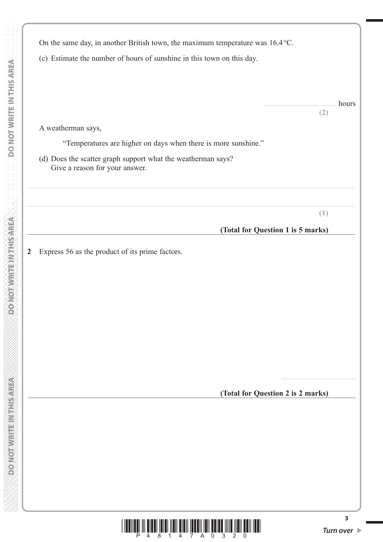| hours<br>(2)<br>(1)               |
|-----------------------------------|
|                                   |
|                                   |
|                                   |
|                                   |
|                                   |
|                                   |
|                                   |
|                                   |
|                                   |
|                                   |
|                                   |
|                                   |
| (Total for Question 1 is 5 marks) |
|                                   |
| (Total for Question 2 is 2 marks) |
|                                   |
|                                   |
|                                   |
|                                   |
|                                   |
|                                   |
|                                   |
|                                   |



**3**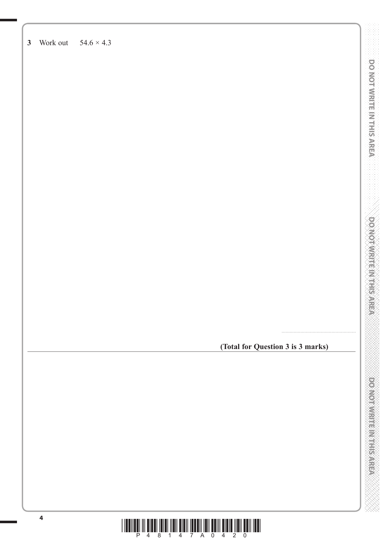**3** Work out 54.6 × 4.3

**(Total for Question 3 is 3 marks)**

.......................................................

**DO NOT WRITE IN THIS AREA DO NOT WRITE IN THIS AREA DO NOT WRITE IN THIS AREA DO NOT WRITE IN THIS AREA DO NOT WRITE IN THIS AREA DO NOT WRITE IN THIS AREA DO NOT WRITE IN THIS AREA DO NOT WRITE IN THIS AREA DO NOT WRITE** DO NOT WRITE IN THIS AREA

**Downware Matters** 

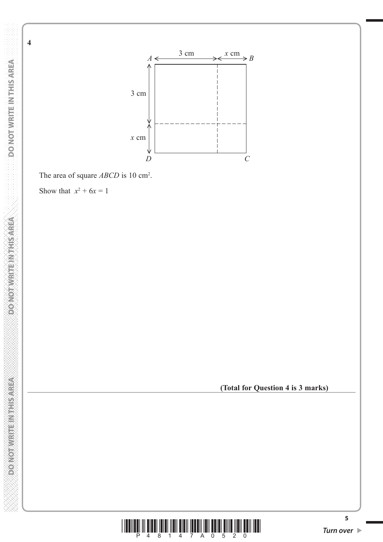

The area of square *ABCD* is 10 cm<sup>2</sup>.

Show that  $x^2 + 6x = 1$ 

**(Total for Question 4 is 3 marks)**



**5**

DO NOT WRITE IN THIS AREA

**4**

**PONORWATER INTERNATION**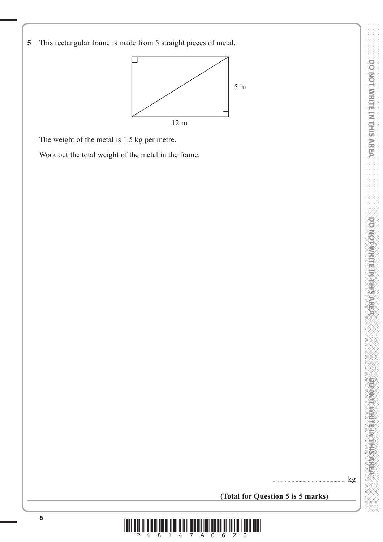**5** This rectangular frame is made from 5 straight pieces of metal.



The weight of the metal is 1.5 kg per metre.

Work out the total weight of the metal in the frame.

 $\mathbf{kg}$ 

**(Total for Question 5 is 5 marks)**

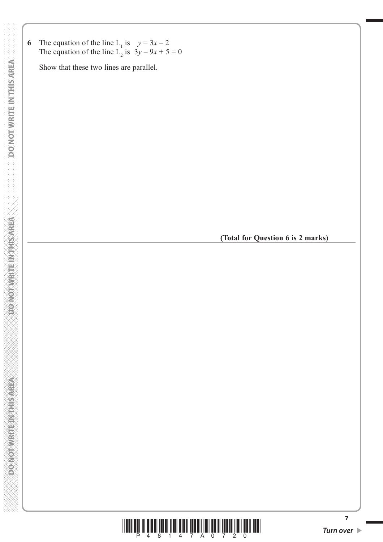6 The equation of the line  $L_1$  is  $y = 3x - 2$ The equation of the line  $L_2$  is  $3y - 9x + 5 = 0$ 

Show that these two lines are parallel.

**(Total for Question 6 is 2 marks)**



**7**

**DOMORATE REQUIRED NO CO**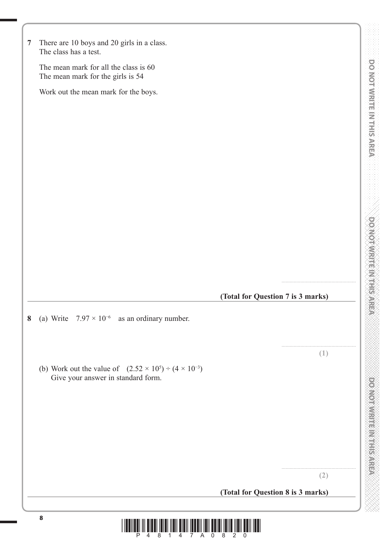| $\overline{7}$ | There are 10 boys and 20 girls in a class.                                 |                                   |     |                                                          |
|----------------|----------------------------------------------------------------------------|-----------------------------------|-----|----------------------------------------------------------|
|                | The class has a test.                                                      |                                   |     |                                                          |
|                | The mean mark for all the class is 60<br>The mean mark for the girls is 54 |                                   |     |                                                          |
|                | Work out the mean mark for the boys.                                       |                                   |     | <b>DO NOT WRITEIN THIS AREA</b>                          |
|                |                                                                            |                                   |     |                                                          |
|                |                                                                            |                                   |     |                                                          |
|                |                                                                            |                                   |     |                                                          |
|                |                                                                            |                                   |     |                                                          |
|                |                                                                            |                                   |     |                                                          |
|                |                                                                            |                                   |     |                                                          |
|                |                                                                            |                                   |     |                                                          |
|                |                                                                            |                                   |     |                                                          |
|                |                                                                            |                                   |     |                                                          |
|                |                                                                            |                                   |     |                                                          |
|                |                                                                            |                                   |     |                                                          |
|                |                                                                            |                                   |     |                                                          |
|                |                                                                            |                                   |     |                                                          |
|                |                                                                            | (Total for Question 7 is 3 marks) |     |                                                          |
|                |                                                                            |                                   |     |                                                          |
|                | (a) Write $7.97 \times 10^{-6}$ as an ordinary number.                     |                                   |     |                                                          |
|                |                                                                            |                                   |     |                                                          |
| 8              |                                                                            |                                   | (1) |                                                          |
|                | (b) Work out the value of $(2.52 \times 10^5) \div (4 \times 10^{-3})$     |                                   |     |                                                          |
|                | Give your answer in standard form.                                         |                                   |     |                                                          |
|                |                                                                            |                                   |     |                                                          |
|                |                                                                            |                                   |     |                                                          |
|                |                                                                            |                                   |     |                                                          |
|                |                                                                            |                                   |     |                                                          |
|                |                                                                            |                                   |     |                                                          |
|                |                                                                            | (Total for Question 8 is 3 marks) | (2) | <b>PONOTOMETE INTHIS ARE</b><br>DOMOVING THE MAIN HOMEON |

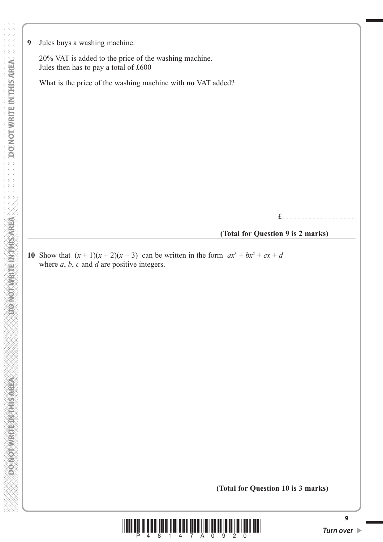20% VAT is added to the price of the washing machine. Jules then has to pay a total of £600

What is the price of the washing machine with **no** VAT added?

£.......................................................

#### **(Total for Question 9 is 2 marks)**

**10** Show that  $(x + 1)(x + 2)(x + 3)$  can be written in the form  $ax^3 + bx^2 + cx + d$ where *a*, *b*, *c* and *d* are positive integers.



**CONORWER STATES NO.**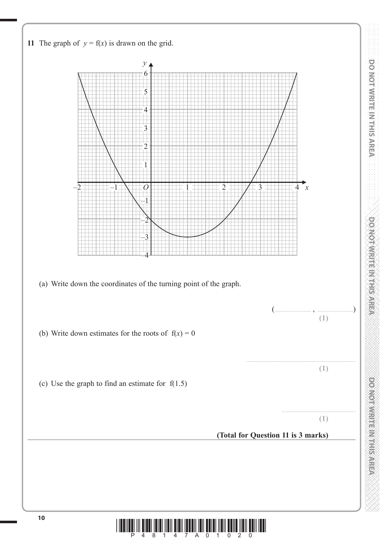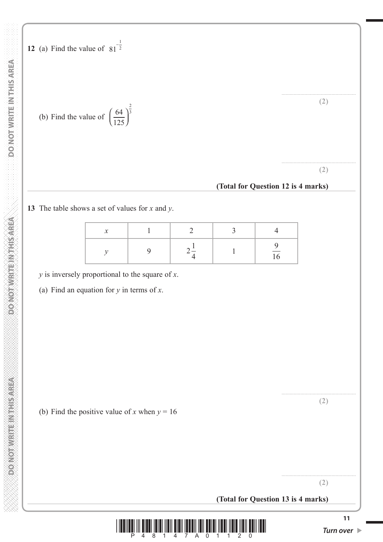こくこく こくこく こくこくこく

**DO NOT WRITE INTHIS AREA** 

| (b) Find the value of $\left(\frac{64}{125}\right)^{\frac{2}{3}}$ |                |                |                |                                    | (2) |
|-------------------------------------------------------------------|----------------|----------------|----------------|------------------------------------|-----|
|                                                                   |                |                |                | (Total for Question 12 is 4 marks) | (2) |
| 13 The table shows a set of values for $x$ and $y$ .              |                |                |                |                                    |     |
| $\boldsymbol{\mathcal{X}}$                                        | $\mathbf{1}$   | $\overline{2}$ | $\overline{3}$ | $\overline{4}$                     |     |
| $\mathcal Y$                                                      | $\mathfrak{g}$ | $2\frac{1}{4}$ | $\mathbf{1}$   | $\frac{9}{16}$                     |     |
| $y$ is inversely proportional to the square of $x$ .              |                |                |                |                                    |     |
|                                                                   |                |                |                |                                    |     |
|                                                                   |                |                |                |                                    |     |
| (b) Find the positive value of x when $y = 16$                    |                |                |                |                                    | (2) |

1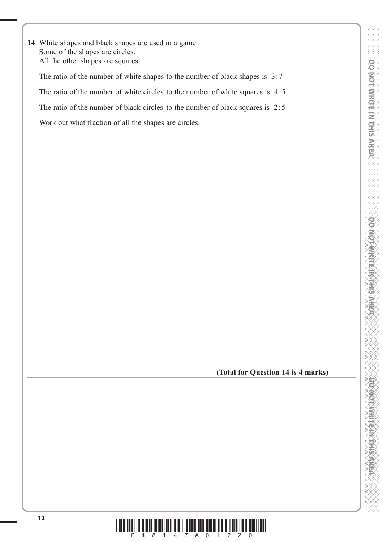**14** White shapes and black shapes are used in a game. Some of the shapes are circles. All the other shapes are squares.

 The ratio of the number of white shapes to the number of black shapes is 3:7 The ratio of the number of white circles to the number of white squares is 4:5 The ratio of the number of black circles to the number of black squares is 2:5 Work out what fraction of all the shapes are circles.

**(Total for Question 14 is 4 marks)**

.......................................................



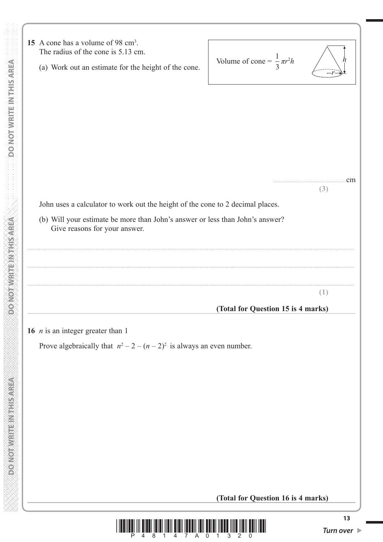| 15 A cone has a volume of 98 cm <sup>3</sup> .<br>The radius of the cone is 5.13 cm.<br>(a) Work out an estimate for the height of the cone. | Volume of cone = $\frac{1}{3} \pi r^2 h$ |           |
|----------------------------------------------------------------------------------------------------------------------------------------------|------------------------------------------|-----------|
|                                                                                                                                              |                                          |           |
|                                                                                                                                              |                                          | cm<br>(3) |
| John uses a calculator to work out the height of the cone to 2 decimal places.                                                               |                                          |           |
| (b) Will your estimate be more than John's answer or less than John's answer?<br>Give reasons for your answer.                               |                                          |           |
|                                                                                                                                              |                                          | L.        |
|                                                                                                                                              | (Total for Question 15 is 4 marks)       |           |
| 16 $n$ is an integer greater than 1<br>Prove algebraically that $n^2 - 2 - (n - 2)^2$ is always an even number.                              |                                          |           |
|                                                                                                                                              | (Total for Question 16 is 4 marks)       |           |

 **DO NOT WRITE IN THIS AREA DO NOT WRITE IN THIS AREA DO NOT WRITE IN THIS AREA DO NOT WRITE IN THIS AREA DO NOT** 

A some the second that the matrix of the second term of the state of the second term of the state of the state of the state of the state of the state of the state of the state of the state of the state of the state of the

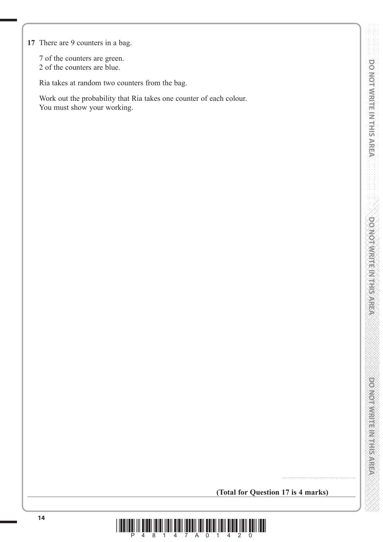**17** There are 9 counters in a bag.

 7 of the counters are green. 2 of the counters are blue.

Ria takes at random two counters from the bag.

 Work out the probability that Ria takes one counter of each colour. You must show your working.

**(Total for Question 17 is 4 marks)**

.......................................................

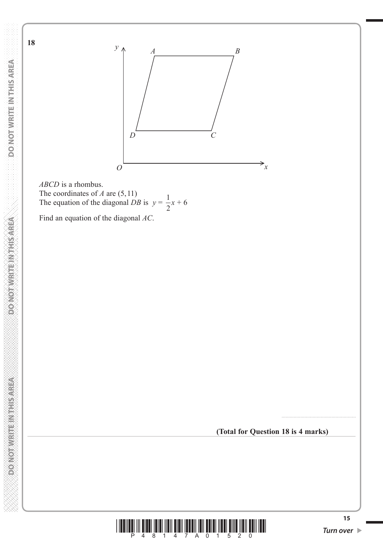

*ABCD* is a rhombus. The coordinates of *A* are  $(5,11)$ The equation of the diagonal *DB* is  $y =$ 1  $\frac{1}{2}x + 6$ 

Find an equation of the diagonal *AC*.

**(Total for Question 18 is 4 marks)**



.......................................................

**DO NOT WRITE IN THIS AREA** 

**18**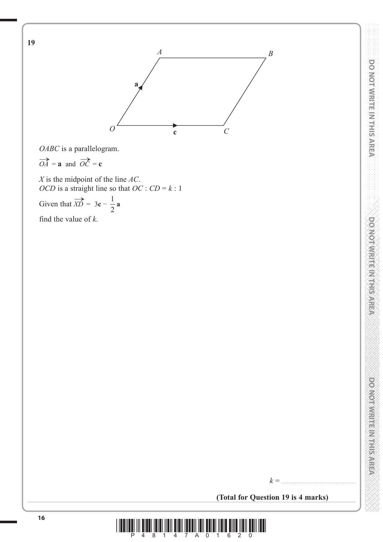



*OABC* is a parallelogram.

$$
\overrightarrow{OA} = \mathbf{a} \text{ and } \overrightarrow{OC} = \mathbf{c}
$$

*X* is the midpoint of the line *AC*. *OCD* is a straight line so that  $OC : CD = k : 1$ Given that  $\overrightarrow{XD} = 3c - \frac{1}{2}a$ find the value of *k*.

**DOOMOOD WERE STATED ASSESS** 

**(Total for Question 19 is 4 marks)**

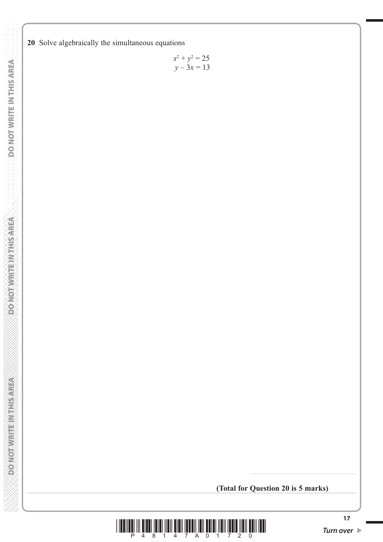**20** Solve algebraically the simultaneous equations

$$
x^2 + y^2 = 25
$$
  

$$
y - 3x = 13
$$

**DONOTWRITEINTHSAREA** 

**(Total for Question 20 is 5 marks)**

..............................................................................

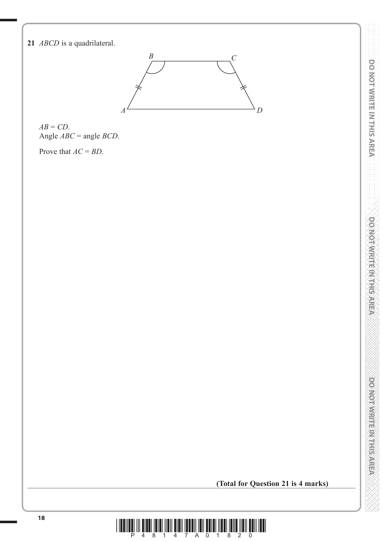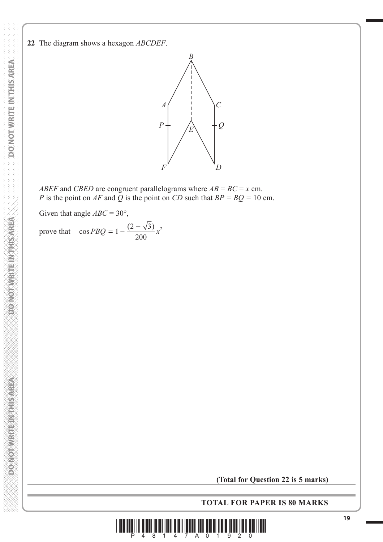**22** The diagram shows a hexagon *ABCDEF*.



*ABEF* and *CBED* are congruent parallelograms where  $AB = BC = x$  cm. *P* is the point on *AF* and *Q* is the point on *CD* such that  $BP = BQ = 10$  cm.

Given that angle  $ABC = 30^{\circ}$ ,

prove that  $\cos PBQ = 1 - \frac{(2 - \sqrt{3})}{200}x$ 2

**(Total for Question 22 is 5 marks)**

**TOTAL FOR PAPER IS 80 MARKS**



**DONOTHER ETHINGS**